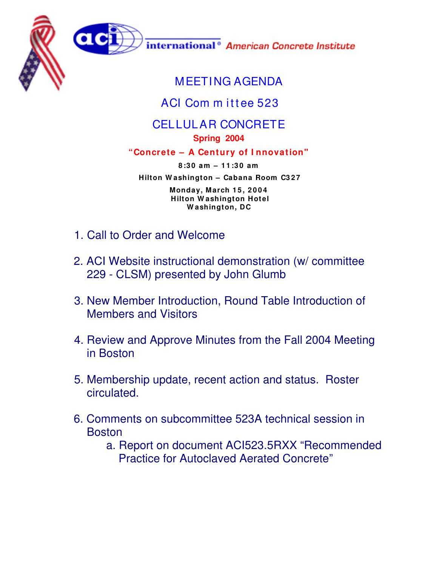



international<sup>®</sup> American Concrete Institute

## MEETING AGENDA

## ACI Com m ittee 523

## CELLULAR CONCRETE

**Spring 2004**

## **"Concrete – A Century of I nnovation"**

**8 :3 0 am – 1 1 :3 0 am Hilton W ashington – Cabana Room C3 2 7 Monday, March 1 5 , 2 0 0 4 Hilton W ashington Hotel W ashington, DC**

- 1. Call to Order and Welcome
- 2. ACI Website instructional demonstration (w/ committee 229 - CLSM) presented by John Glumb
- 3. New Member Introduction, Round Table Introduction of Members and Visitors
- 4. Review and Approve Minutes from the Fall 2004 Meeting in Boston
- 5. Membership update, recent action and status. Roster circulated.
- 6. Comments on subcommittee 523A technical session in **Boston** 
	- a. Report on document ACI523.5RXX "Recommended Practice for Autoclaved Aerated Concrete"